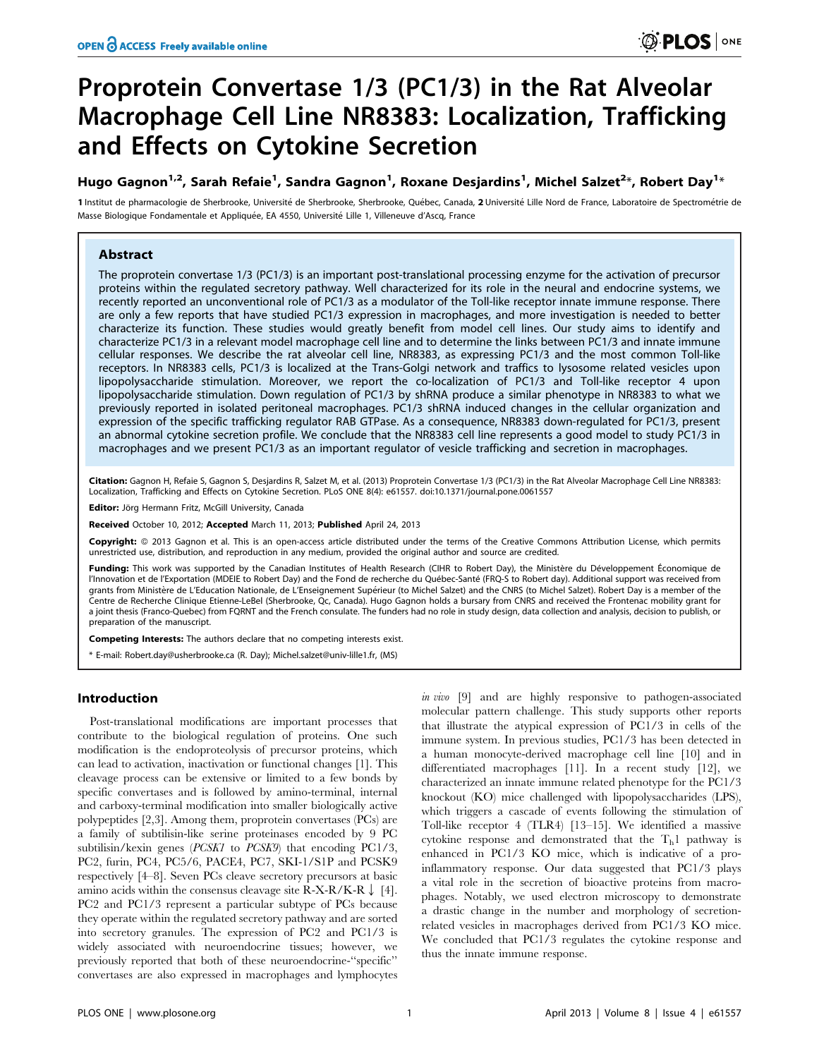# Proprotein Convertase 1/3 (PC1/3) in the Rat Alveolar Macrophage Cell Line NR8383: Localization, Trafficking and Effects on Cytokine Secretion

## Hugo Gagnon $^{1,2}$ , Sarah Refaie $^1$ , Sandra Gagnon $^1$ , Roxane Desjardins $^1$ , Michel Salzet $^{2*}$ , Robert Day $^{1*}$

1 Institut de pharmacologie de Sherbrooke, Université de Sherbrooke, Sherbrooke, Québec, Canada, 2 Université Lille Nord de France, Laboratoire de Spectrométrie de Masse Biologique Fondamentale et Appliquée, EA 4550, Université Lille 1, Villeneuve d'Ascq, France

## Abstract

The proprotein convertase 1/3 (PC1/3) is an important post-translational processing enzyme for the activation of precursor proteins within the regulated secretory pathway. Well characterized for its role in the neural and endocrine systems, we recently reported an unconventional role of PC1/3 as a modulator of the Toll-like receptor innate immune response. There are only a few reports that have studied PC1/3 expression in macrophages, and more investigation is needed to better characterize its function. These studies would greatly benefit from model cell lines. Our study aims to identify and characterize PC1/3 in a relevant model macrophage cell line and to determine the links between PC1/3 and innate immune cellular responses. We describe the rat alveolar cell line, NR8383, as expressing PC1/3 and the most common Toll-like receptors. In NR8383 cells, PC1/3 is localized at the Trans-Golgi network and traffics to lysosome related vesicles upon lipopolysaccharide stimulation. Moreover, we report the co-localization of PC1/3 and Toll-like receptor 4 upon lipopolysaccharide stimulation. Down regulation of PC1/3 by shRNA produce a similar phenotype in NR8383 to what we previously reported in isolated peritoneal macrophages. PC1/3 shRNA induced changes in the cellular organization and expression of the specific trafficking regulator RAB GTPase. As a consequence, NR8383 down-regulated for PC1/3, present an abnormal cytokine secretion profile. We conclude that the NR8383 cell line represents a good model to study PC1/3 in macrophages and we present PC1/3 as an important regulator of vesicle trafficking and secretion in macrophages.

Citation: Gagnon H, Refaie S, Gagnon S, Desjardins R, Salzet M, et al. (2013) Proprotein Convertase 1/3 (PC1/3) in the Rat Alveolar Macrophage Cell Line NR8383: Localization, Trafficking and Effects on Cytokine Secretion. PLoS ONE 8(4): e61557. doi:10.1371/journal.pone.0061557

Editor: Jörg Hermann Fritz, McGill University, Canada

Received October 10, 2012; Accepted March 11, 2013; Published April 24, 2013

Copyright: @ 2013 Gagnon et al. This is an open-access article distributed under the terms of the Creative Commons Attribution License, which permits unrestricted use, distribution, and reproduction in any medium, provided the original author and source are credited.

Funding: This work was supported by the Canadian Institutes of Health Research (CIHR to Robert Day), the Ministère du Développement Économique de l'Innovation et de l'Exportation (MDEIE to Robert Day) and the Fond de recherche du Que´bec-Sante´ (FRQ-S to Robert day). Additional support was received from grants from Ministère de L'Education Nationale, de L'Enseignement Supérieur (to Michel Salzet) and the CNRS (to Michel Salzet). Robert Day is a member of the Centre de Recherche Clinique Etienne-LeBel (Sherbrooke, Qc, Canada). Hugo Gagnon holds a bursary from CNRS and received the Frontenac mobility grant for a joint thesis (Franco-Quebec) from FQRNT and the French consulate. The funders had no role in study design, data collection and analysis, decision to publish, or preparation of the manuscript.

Competing Interests: The authors declare that no competing interests exist.

\* E-mail: Robert.day@usherbrooke.ca (R. Day); Michel.salzet@univ-lille1.fr, (MS)

## Introduction

Post-translational modifications are important processes that contribute to the biological regulation of proteins. One such modification is the endoproteolysis of precursor proteins, which can lead to activation, inactivation or functional changes [1]. This cleavage process can be extensive or limited to a few bonds by specific convertases and is followed by amino-terminal, internal and carboxy-terminal modification into smaller biologically active polypeptides [2,3]. Among them, proprotein convertases (PCs) are a family of subtilisin-like serine proteinases encoded by 9 PC subtilisin/kexin genes (PCSK1 to PCSK9) that encoding PC1/3, PC2, furin, PC4, PC5/6, PACE4, PC7, SKI-1/S1P and PCSK9 respectively [4–8]. Seven PCs cleave secretory precursors at basic amino acids within the consensus cleavage site R-X-R/K-R  $\downarrow$  [4]. PC2 and PC1/3 represent a particular subtype of PCs because they operate within the regulated secretory pathway and are sorted into secretory granules. The expression of PC2 and PC1/3 is widely associated with neuroendocrine tissues; however, we previously reported that both of these neuroendocrine-''specific'' convertases are also expressed in macrophages and lymphocytes

in vivo [9] and are highly responsive to pathogen-associated molecular pattern challenge. This study supports other reports that illustrate the atypical expression of PC1/3 in cells of the immune system. In previous studies, PC1/3 has been detected in a human monocyte-derived macrophage cell line [10] and in differentiated macrophages [11]. In a recent study [12], we characterized an innate immune related phenotype for the PC1/3 knockout (KO) mice challenged with lipopolysaccharides (LPS), which triggers a cascade of events following the stimulation of Toll-like receptor 4 (TLR4) [13–15]. We identified a massive cytokine response and demonstrated that the  $T<sub>h</sub>1$  pathway is enhanced in PC1/3 KO mice, which is indicative of a proinflammatory response. Our data suggested that PC1/3 plays a vital role in the secretion of bioactive proteins from macrophages. Notably, we used electron microscopy to demonstrate a drastic change in the number and morphology of secretionrelated vesicles in macrophages derived from PC1/3 KO mice. We concluded that PC1/3 regulates the cytokine response and thus the innate immune response.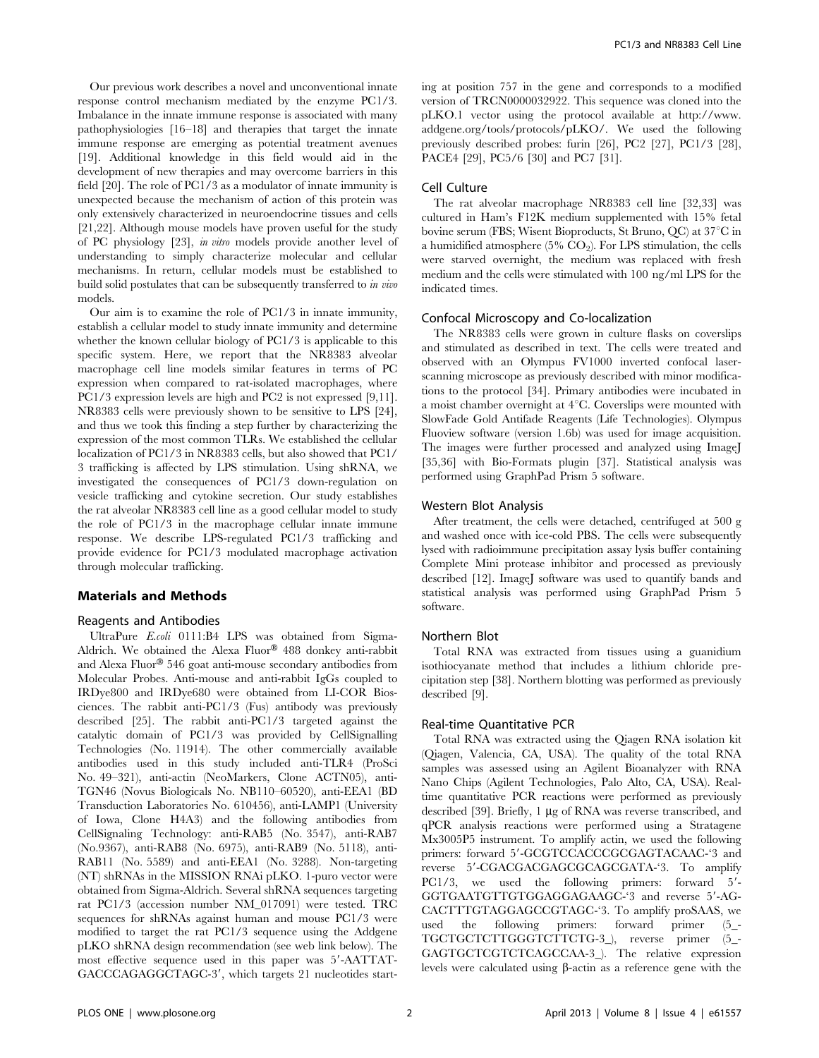Our previous work describes a novel and unconventional innate response control mechanism mediated by the enzyme PC1/3. Imbalance in the innate immune response is associated with many pathophysiologies [16–18] and therapies that target the innate immune response are emerging as potential treatment avenues [19]. Additional knowledge in this field would aid in the development of new therapies and may overcome barriers in this field [20]. The role of PC1/3 as a modulator of innate immunity is unexpected because the mechanism of action of this protein was only extensively characterized in neuroendocrine tissues and cells [21,22]. Although mouse models have proven useful for the study of PC physiology [23], in vitro models provide another level of understanding to simply characterize molecular and cellular mechanisms. In return, cellular models must be established to build solid postulates that can be subsequently transferred to in vivo models.

Our aim is to examine the role of PC1/3 in innate immunity, establish a cellular model to study innate immunity and determine whether the known cellular biology of PC1/3 is applicable to this specific system. Here, we report that the NR8383 alveolar macrophage cell line models similar features in terms of PC expression when compared to rat-isolated macrophages, where PC1/3 expression levels are high and PC2 is not expressed [9,11]. NR8383 cells were previously shown to be sensitive to LPS [24], and thus we took this finding a step further by characterizing the expression of the most common TLRs. We established the cellular localization of PC1/3 in NR8383 cells, but also showed that PC1/ 3 trafficking is affected by LPS stimulation. Using shRNA, we investigated the consequences of PC1/3 down-regulation on vesicle trafficking and cytokine secretion. Our study establishes the rat alveolar NR8383 cell line as a good cellular model to study the role of PC1/3 in the macrophage cellular innate immune response. We describe LPS-regulated PC1/3 trafficking and provide evidence for PC1/3 modulated macrophage activation through molecular trafficking.

### Materials and Methods

#### Reagents and Antibodies

UltraPure E.coli 0111:B4 LPS was obtained from Sigma-Aldrich. We obtained the Alexa Fluor® 488 donkey anti-rabbit and Alexa Fluor® 546 goat anti-mouse secondary antibodies from Molecular Probes. Anti-mouse and anti-rabbit IgGs coupled to IRDye800 and IRDye680 were obtained from LI-COR Biosciences. The rabbit anti-PC1/3 (Fus) antibody was previously described [25]. The rabbit anti-PC1/3 targeted against the catalytic domain of PC1/3 was provided by CellSignalling Technologies (No. 11914). The other commercially available antibodies used in this study included anti-TLR4 (ProSci No. 49–321), anti-actin (NeoMarkers, Clone ACTN05), anti-TGN46 (Novus Biologicals No. NB110–60520), anti-EEA1 (BD Transduction Laboratories No. 610456), anti-LAMP1 (University of Iowa, Clone H4A3) and the following antibodies from CellSignaling Technology: anti-RAB5 (No. 3547), anti-RAB7 (No.9367), anti-RAB8 (No. 6975), anti-RAB9 (No. 5118), anti-RAB11 (No. 5589) and anti-EEA1 (No. 3288). Non-targeting (NT) shRNAs in the MISSION RNAi pLKO. 1-puro vector were obtained from Sigma-Aldrich. Several shRNA sequences targeting rat PC1/3 (accession number NM\_017091) were tested. TRC sequences for shRNAs against human and mouse PC1/3 were modified to target the rat PC1/3 sequence using the Addgene pLKO shRNA design recommendation (see web link below). The most effective sequence used in this paper was 5'-AATTAT-GACCCAGAGGCTAGC-3', which targets 21 nucleotides starting at position 757 in the gene and corresponds to a modified version of TRCN0000032922. This sequence was cloned into the pLKO.1 vector using the protocol available at http://www. addgene.org/tools/protocols/pLKO/. We used the following previously described probes: furin [26], PC2 [27], PC1/3 [28], PACE4 [29], PC5/6 [30] and PC7 [31].

## Cell Culture

The rat alveolar macrophage NR8383 cell line [32,33] was cultured in Ham's F12K medium supplemented with 15% fetal bovine serum (FBS; Wisent Bioproducts, St Bruno, QC) at 37°C in a humidified atmosphere (5%  $CO<sub>2</sub>$ ). For LPS stimulation, the cells were starved overnight, the medium was replaced with fresh medium and the cells were stimulated with 100 ng/ml LPS for the indicated times.

## Confocal Microscopy and Co-localization

The NR8383 cells were grown in culture flasks on coverslips and stimulated as described in text. The cells were treated and observed with an Olympus FV1000 inverted confocal laserscanning microscope as previously described with minor modifications to the protocol [34]. Primary antibodies were incubated in a moist chamber overnight at  $4^{\circ}$ C. Coverslips were mounted with SlowFade Gold Antifade Reagents (Life Technologies). Olympus Fluoview software (version 1.6b) was used for image acquisition. The images were further processed and analyzed using ImageJ [35,36] with Bio-Formats plugin [37]. Statistical analysis was performed using GraphPad Prism 5 software.

#### Western Blot Analysis

After treatment, the cells were detached, centrifuged at 500 g and washed once with ice-cold PBS. The cells were subsequently lysed with radioimmune precipitation assay lysis buffer containing Complete Mini protease inhibitor and processed as previously described [12]. ImageJ software was used to quantify bands and statistical analysis was performed using GraphPad Prism 5 software.

## Northern Blot

Total RNA was extracted from tissues using a guanidium isothiocyanate method that includes a lithium chloride precipitation step [38]. Northern blotting was performed as previously described [9].

#### Real-time Quantitative PCR

Total RNA was extracted using the Qiagen RNA isolation kit (Qiagen, Valencia, CA, USA). The quality of the total RNA samples was assessed using an Agilent Bioanalyzer with RNA Nano Chips (Agilent Technologies, Palo Alto, CA, USA). Realtime quantitative PCR reactions were performed as previously described [39]. Briefly, 1  $\mu$ g of RNA was reverse transcribed, and qPCR analysis reactions were performed using a Stratagene Mx3005P5 instrument. To amplify actin, we used the following primers: forward 5'-GCGTCCACCCGCGAGTACAAC-'3 and reverse 5'-CGACGACGAGCGCAGCGATA-'3. To amplify PC1/3, we used the following primers: forward 5'-GGTGAATGTTGTGGAGGAGAAGC-'3 and reverse 5'-AG-CACTTTGTAGGAGCCGTAGC-'3. To amplify proSAAS, we used the following primers: forward primer (5\_- TGCTGCTCTTGGGTCTTCTG-3\_), reverse primer (5\_- GAGTGCTCGTCTCAGCCAA-3\_). The relative expression levels were calculated using  $\beta$ -actin as a reference gene with the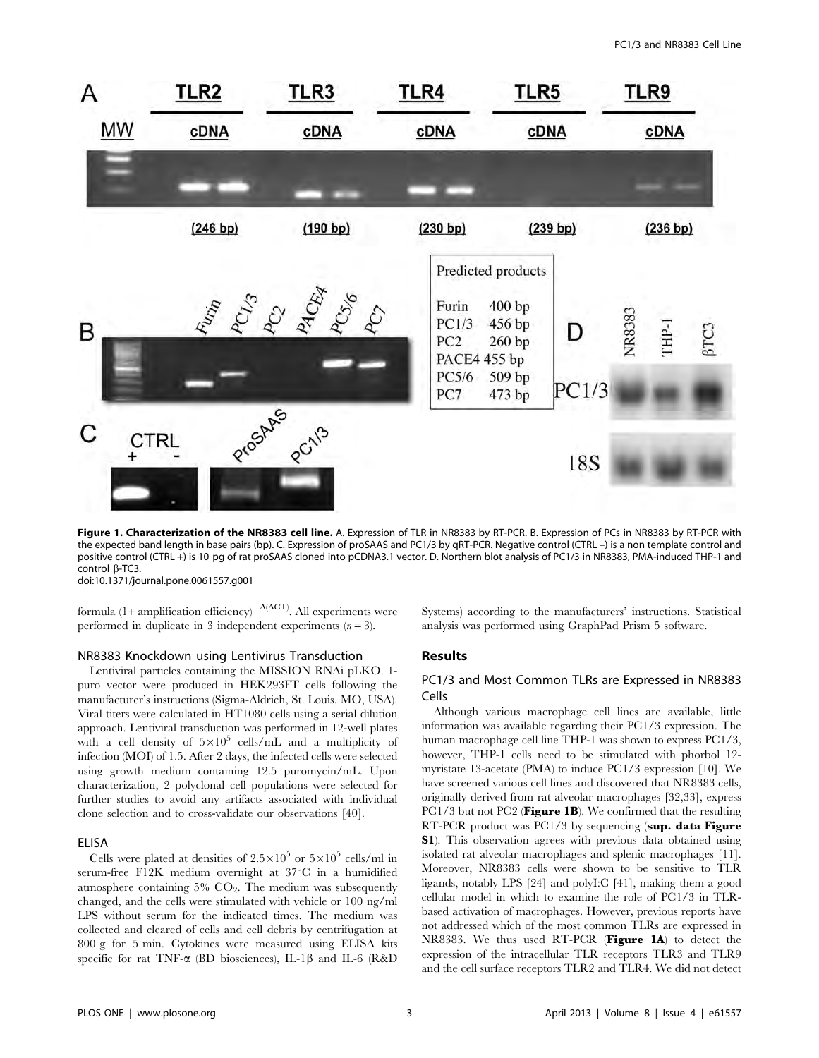

Figure 1. Characterization of the NR8383 cell line. A. Expression of TLR in NR8383 by RT-PCR. B. Expression of PCs in NR8383 by RT-PCR with the expected band length in base pairs (bp). C. Expression of proSAAS and PC1/3 by qRT-PCR. Negative control (CTRL –) is a non template control and positive control (CTRL +) is 10 pg of rat proSAAS cloned into pCDNA3.1 vector. D. Northern blot analysis of PC1/3 in NR8383, PMA-induced THP-1 and control B-TC3. doi:10.1371/journal.pone.0061557.g001

formula (1+ amplification efficiency)<sup> $-\Delta(\Delta CT)$ </sup>. All experiments were performed in duplicate in 3 independent experiments  $(n = 3)$ .

#### NR8383 Knockdown using Lentivirus Transduction

Lentiviral particles containing the MISSION RNAi pLKO. 1 puro vector were produced in HEK293FT cells following the manufacturer's instructions (Sigma-Aldrich, St. Louis, MO, USA). Viral titers were calculated in HT1080 cells using a serial dilution approach. Lentiviral transduction was performed in 12-well plates with a cell density of  $5\times10^5$  cells/mL and a multiplicity of infection (MOI) of 1.5. After 2 days, the infected cells were selected using growth medium containing 12.5 puromycin/mL. Upon characterization, 2 polyclonal cell populations were selected for further studies to avoid any artifacts associated with individual clone selection and to cross-validate our observations [40].

#### ELISA

Cells were plated at densities of  $2.5 \times 10^5$  or  $5 \times 10^5$  cells/ml in serum-free F12K medium overnight at  $37^{\circ}$ C in a humidified atmosphere containing  $5\%$  CO<sub>2</sub>. The medium was subsequently changed, and the cells were stimulated with vehicle or 100 ng/ml LPS without serum for the indicated times. The medium was collected and cleared of cells and cell debris by centrifugation at 800 g for 5 min. Cytokines were measured using ELISA kits specific for rat TNF- $\alpha$  (BD biosciences), IL-1 $\beta$  and IL-6 (R&D Systems) according to the manufacturers' instructions. Statistical analysis was performed using GraphPad Prism 5 software.

#### Results

## PC1/3 and Most Common TLRs are Expressed in NR8383 Cells

Although various macrophage cell lines are available, little information was available regarding their PC1/3 expression. The human macrophage cell line THP-1 was shown to express PC1/3, however, THP-1 cells need to be stimulated with phorbol 12 myristate 13-acetate (PMA) to induce PC1/3 expression [10]. We have screened various cell lines and discovered that NR8383 cells, originally derived from rat alveolar macrophages [32,33], express PC1/3 but not PC2 (**Figure 1B**). We confirmed that the resulting RT-PCR product was PC1/3 by sequencing (sup. data Figure S1). This observation agrees with previous data obtained using isolated rat alveolar macrophages and splenic macrophages [11]. Moreover, NR8383 cells were shown to be sensitive to TLR ligands, notably LPS [24] and polyI:C [41], making them a good cellular model in which to examine the role of PC1/3 in TLRbased activation of macrophages. However, previous reports have not addressed which of the most common TLRs are expressed in NR8383. We thus used RT-PCR (Figure 1A) to detect the expression of the intracellular TLR receptors TLR3 and TLR9 and the cell surface receptors TLR2 and TLR4. We did not detect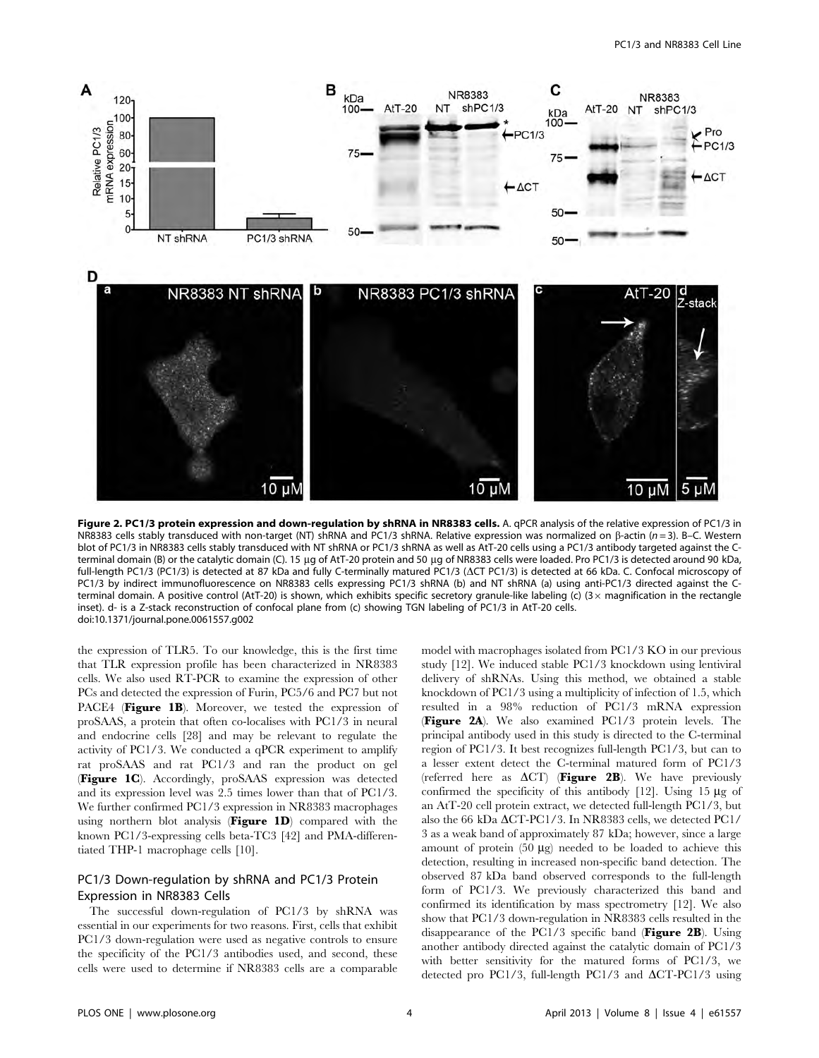

Figure 2. PC1/3 protein expression and down-regulation by shRNA in NR8383 cells. A. qPCR analysis of the relative expression of PC1/3 in NR8383 cells stably transduced with non-target (NT) shRNA and PC1/3 shRNA. Relative expression was normalized on  $\beta$ -actin (*n* = 3). B–C. Western blot of PC1/3 in NR8383 cells stably transduced with NT shRNA or PC1/3 shRNA as well as AtT-20 cells using a PC1/3 antibody targeted against the Cterminal domain (B) or the catalytic domain (C). 15 µg of AtT-20 protein and 50 µg of NR8383 cells were loaded. Pro PC1/3 is detected around 90 kDa, full-length PC1/3 (PC1/3) is detected at 87 kDa and fully C-terminally matured PC1/3 ( $\Delta$ CT PC1/3) is detected at 66 kDa. C. Confocal microscopy of PC1/3 by indirect immunofluorescence on NR8383 cells expressing PC1/3 shRNA (b) and NT shRNA (a) using anti-PC1/3 directed against the Cterminal domain. A positive control (AtT-20) is shown, which exhibits specific secretory granule-like labeling (c)  $(3 \times$  magnification in the rectangle inset). d- is a Z-stack reconstruction of confocal plane from (c) showing TGN labeling of PC1/3 in AtT-20 cells. doi:10.1371/journal.pone.0061557.g002

the expression of TLR5. To our knowledge, this is the first time that TLR expression profile has been characterized in NR8383 cells. We also used RT-PCR to examine the expression of other PCs and detected the expression of Furin, PC5/6 and PC7 but not PACE4 (Figure 1B). Moreover, we tested the expression of proSAAS, a protein that often co-localises with PC1/3 in neural and endocrine cells [28] and may be relevant to regulate the activity of PC1/3. We conducted a qPCR experiment to amplify rat proSAAS and rat PC1/3 and ran the product on gel (Figure 1C). Accordingly, proSAAS expression was detected and its expression level was 2.5 times lower than that of PC1/3. We further confirmed PC1/3 expression in NR8383 macrophages using northern blot analysis ( $Figure 1D$ ) compared with the known PC1/3-expressing cells beta-TC3 [42] and PMA-differentiated THP-1 macrophage cells [10].

## PC1/3 Down-regulation by shRNA and PC1/3 Protein Expression in NR8383 Cells

The successful down-regulation of PC1/3 by shRNA was essential in our experiments for two reasons. First, cells that exhibit PC1/3 down-regulation were used as negative controls to ensure the specificity of the PC1/3 antibodies used, and second, these cells were used to determine if NR8383 cells are a comparable model with macrophages isolated from PC1/3 KO in our previous study [12]. We induced stable PC1/3 knockdown using lentiviral delivery of shRNAs. Using this method, we obtained a stable knockdown of PC1/3 using a multiplicity of infection of 1.5, which resulted in a 98% reduction of PC1/3 mRNA expression (Figure 2A). We also examined PC1/3 protein levels. The principal antibody used in this study is directed to the C-terminal region of PC1/3. It best recognizes full-length PC1/3, but can to a lesser extent detect the C-terminal matured form of PC1/3 (referred here as  $\Delta CT$ ) (Figure 2B). We have previously confirmed the specificity of this antibody  $[12]$ . Using 15  $\mu$ g of an AtT-20 cell protein extract, we detected full-length PC1/3, but also the 66 kDa  $\Delta$ CT-PC1/3. In NR8383 cells, we detected PC1/ 3 as a weak band of approximately 87 kDa; however, since a large amount of protein  $(50 \mu g)$  needed to be loaded to achieve this detection, resulting in increased non-specific band detection. The observed 87 kDa band observed corresponds to the full-length form of PC1/3. We previously characterized this band and confirmed its identification by mass spectrometry [12]. We also show that PC1/3 down-regulation in NR8383 cells resulted in the disappearance of the  $PC1/3$  specific band (Figure 2B). Using another antibody directed against the catalytic domain of PC1/3 with better sensitivity for the matured forms of PC1/3, we detected pro PC1/3, full-length PC1/3 and  $\Delta$ CT-PC1/3 using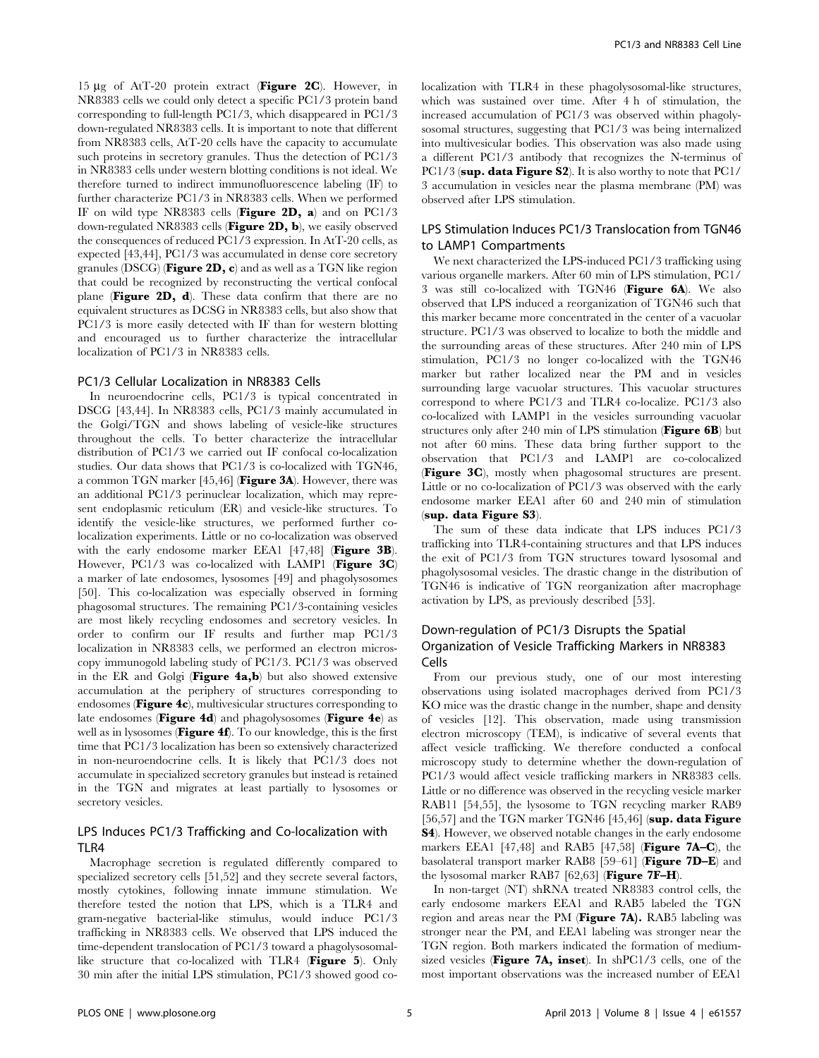15  $\mu$ g of AtT-20 protein extract (Figure 2C). However, in NR8383 cells we could only detect a specific PC1/3 protein band corresponding to full-length PC1/3, which disappeared in PC1/3 down-regulated NR8383 cells. It is important to note that different from NR8383 cells, AtT-20 cells have the capacity to accumulate such proteins in secretory granules. Thus the detection of PC1/3 in NR8383 cells under western blotting conditions is not ideal. We therefore turned to indirect immunofluorescence labeling (IF) to further characterize PC1/3 in NR8383 cells. When we performed IF on wild type NR8383 cells (Figure 2D, a) and on PC1/3 down-regulated NR8383 cells (Figure 2D, b), we easily observed the consequences of reduced PC1/3 expression. In AtT-20 cells, as expected [43,44], PC1/3 was accumulated in dense core secretory granules (DSCG) ( $Figure 2D$ , c) and as well as a TGN like region that could be recognized by reconstructing the vertical confocal plane (**Figure 2D, d**). These data confirm that there are no equivalent structures as DCSG in NR8383 cells, but also show that PC1/3 is more easily detected with IF than for western blotting and encouraged us to further characterize the intracellular localization of PC1/3 in NR8383 cells.

#### PC1/3 Cellular Localization in NR8383 Cells

In neuroendocrine cells, PC1/3 is typical concentrated in DSCG [43,44]. In NR8383 cells, PC1/3 mainly accumulated in the Golgi/TGN and shows labeling of vesicle-like structures throughout the cells. To better characterize the intracellular distribution of PC1/3 we carried out IF confocal co-localization studies. Our data shows that PC1/3 is co-localized with TGN46, a common TGN marker [45,46] (Figure 3A). However, there was an additional PC1/3 perinuclear localization, which may represent endoplasmic reticulum (ER) and vesicle-like structures. To identify the vesicle-like structures, we performed further colocalization experiments. Little or no co-localization was observed with the early endosome marker EEA1  $[47,48]$  (Figure 3B). However, PC1/3 was co-localized with LAMP1 (Figure 3C) a marker of late endosomes, lysosomes [49] and phagolysosomes [50]. This co-localization was especially observed in forming phagosomal structures. The remaining PC1/3-containing vesicles are most likely recycling endosomes and secretory vesicles. In order to confirm our IF results and further map PC1/3 localization in NR8383 cells, we performed an electron microscopy immunogold labeling study of PC1/3. PC1/3 was observed in the ER and Golgi (Figure 4a,b) but also showed extensive accumulation at the periphery of structures corresponding to endosomes (**Figure 4c**), multivesicular structures corresponding to late endosomes (Figure 4d) and phagolysosomes (Figure 4e) as well as in lysosomes (**Figure 4f**). To our knowledge, this is the first time that PC1/3 localization has been so extensively characterized in non-neuroendocrine cells. It is likely that PC1/3 does not accumulate in specialized secretory granules but instead is retained in the TGN and migrates at least partially to lysosomes or secretory vesicles.

## LPS Induces PC1/3 Trafficking and Co-localization with TLR4

Macrophage secretion is regulated differently compared to specialized secretory cells [51,52] and they secrete several factors, mostly cytokines, following innate immune stimulation. We therefore tested the notion that LPS, which is a TLR4 and gram-negative bacterial-like stimulus, would induce PC1/3 trafficking in NR8383 cells. We observed that LPS induced the time-dependent translocation of PC1/3 toward a phagolysosomallike structure that co-localized with TLR4 (Figure 5). Only 30 min after the initial LPS stimulation, PC1/3 showed good colocalization with TLR4 in these phagolysosomal-like structures, which was sustained over time. After 4 h of stimulation, the increased accumulation of PC1/3 was observed within phagolysosomal structures, suggesting that PC1/3 was being internalized into multivesicular bodies. This observation was also made using a different PC1/3 antibody that recognizes the N-terminus of  $PC1/3$  (sup. data Figure S2). It is also worthy to note that  $PC1/$ 3 accumulation in vesicles near the plasma membrane (PM) was observed after LPS stimulation.

## LPS Stimulation Induces PC1/3 Translocation from TGN46 to LAMP1 Compartments

We next characterized the LPS-induced PC1/3 trafficking using various organelle markers. After 60 min of LPS stimulation, PC1/ 3 was still co-localized with TGN46 (Figure 6A). We also observed that LPS induced a reorganization of TGN46 such that this marker became more concentrated in the center of a vacuolar structure. PC1/3 was observed to localize to both the middle and the surrounding areas of these structures. After 240 min of LPS stimulation, PC1/3 no longer co-localized with the TGN46 marker but rather localized near the PM and in vesicles surrounding large vacuolar structures. This vacuolar structures correspond to where PC1/3 and TLR4 co-localize. PC1/3 also co-localized with LAMP1 in the vesicles surrounding vacuolar structures only after 240 min of LPS stimulation ( $Figure 6B$ ) but not after 60 mins. These data bring further support to the observation that PC1/3 and LAMP1 are co-colocalized (Figure 3C), mostly when phagosomal structures are present. Little or no co-localization of PC1/3 was observed with the early endosome marker EEA1 after 60 and 240 min of stimulation (sup. data Figure S3).

The sum of these data indicate that LPS induces PC1/3 trafficking into TLR4-containing structures and that LPS induces the exit of PC1/3 from TGN structures toward lysosomal and phagolysosomal vesicles. The drastic change in the distribution of TGN46 is indicative of TGN reorganization after macrophage activation by LPS, as previously described [53].

## Down-regulation of PC1/3 Disrupts the Spatial Organization of Vesicle Trafficking Markers in NR8383 Cells

From our previous study, one of our most interesting observations using isolated macrophages derived from PC1/3 KO mice was the drastic change in the number, shape and density of vesicles [12]. This observation, made using transmission electron microscopy (TEM), is indicative of several events that affect vesicle trafficking. We therefore conducted a confocal microscopy study to determine whether the down-regulation of PC1/3 would affect vesicle trafficking markers in NR8383 cells. Little or no difference was observed in the recycling vesicle marker RAB11 [54,55], the lysosome to TGN recycling marker RAB9 [56,57] and the TGN marker TGN46 [45,46] (sup. data Figure S4). However, we observed notable changes in the early endosome markers EEA1 [47,48] and RAB5 [47,58] (Figure 7A–C), the basolateral transport marker RAB8 [59–61] (Figure 7D–E) and the lysosomal marker RAB7 [62,63] (Figure 7F-H).

In non-target (NT) shRNA treated NR8383 control cells, the early endosome markers EEA1 and RAB5 labeled the TGN region and areas near the PM (Figure 7A). RAB5 labeling was stronger near the PM, and EEA1 labeling was stronger near the TGN region. Both markers indicated the formation of mediumsized vesicles (Figure 7A, inset). In shPC1/3 cells, one of the most important observations was the increased number of EEA1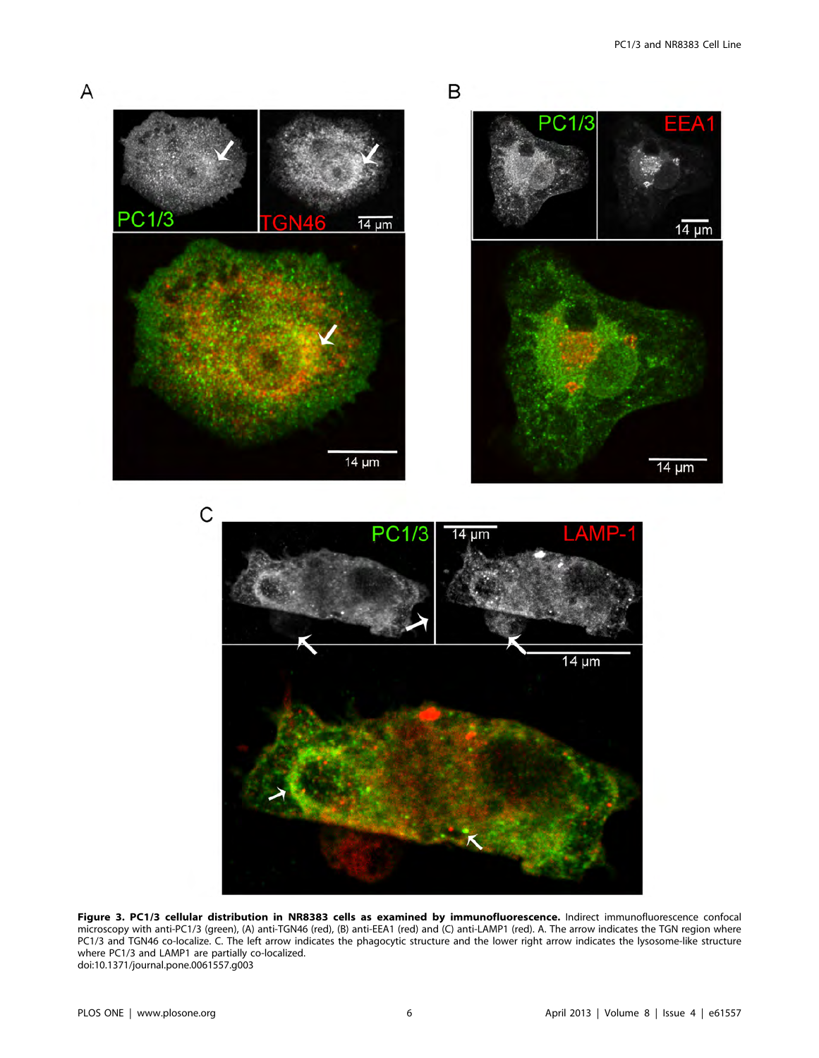

Figure 3. PC1/3 cellular distribution in NR8383 cells as examined by immunofluorescence. Indirect immunofluorescence confocal microscopy with anti-PC1/3 (green), (A) anti-TGN46 (red), (B) anti-EEA1 (red) and (C) anti-LAMP1 (red). A. The arrow indicates the TGN region where PC1/3 and TGN46 co-localize. C. The left arrow indicates the phagocytic structure and the lower right arrow indicates the lysosome-like structure where PC1/3 and LAMP1 are partially co-localized. doi:10.1371/journal.pone.0061557.g003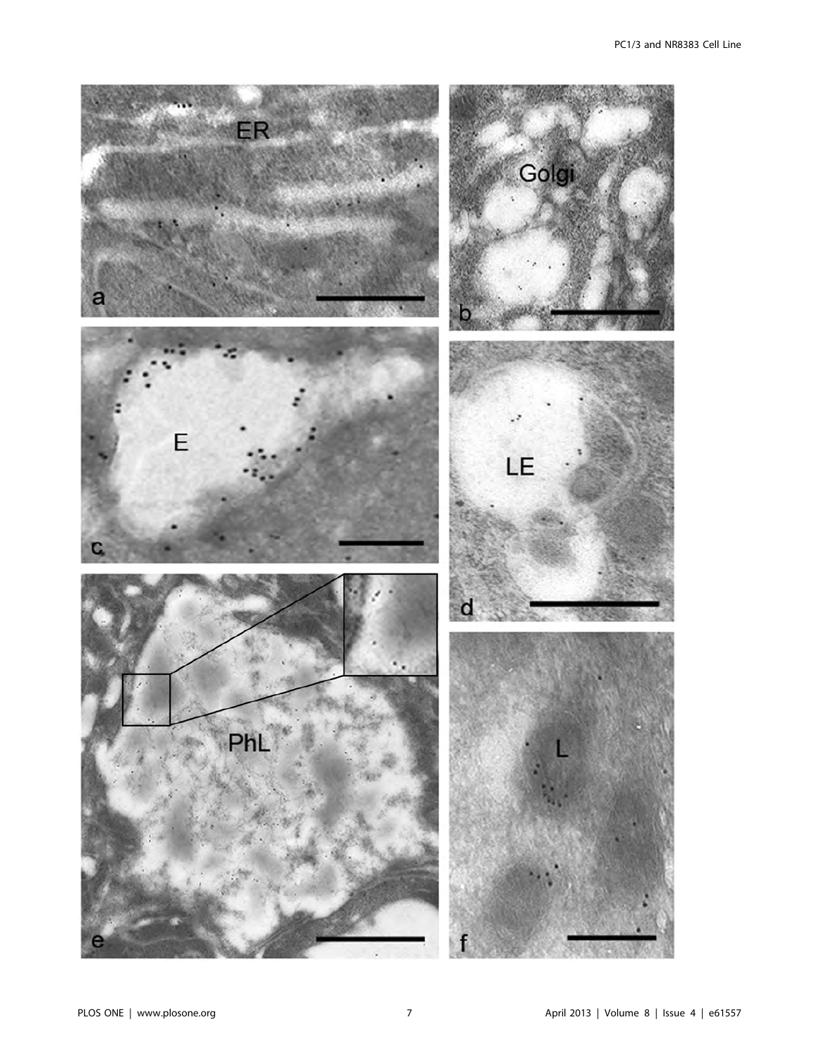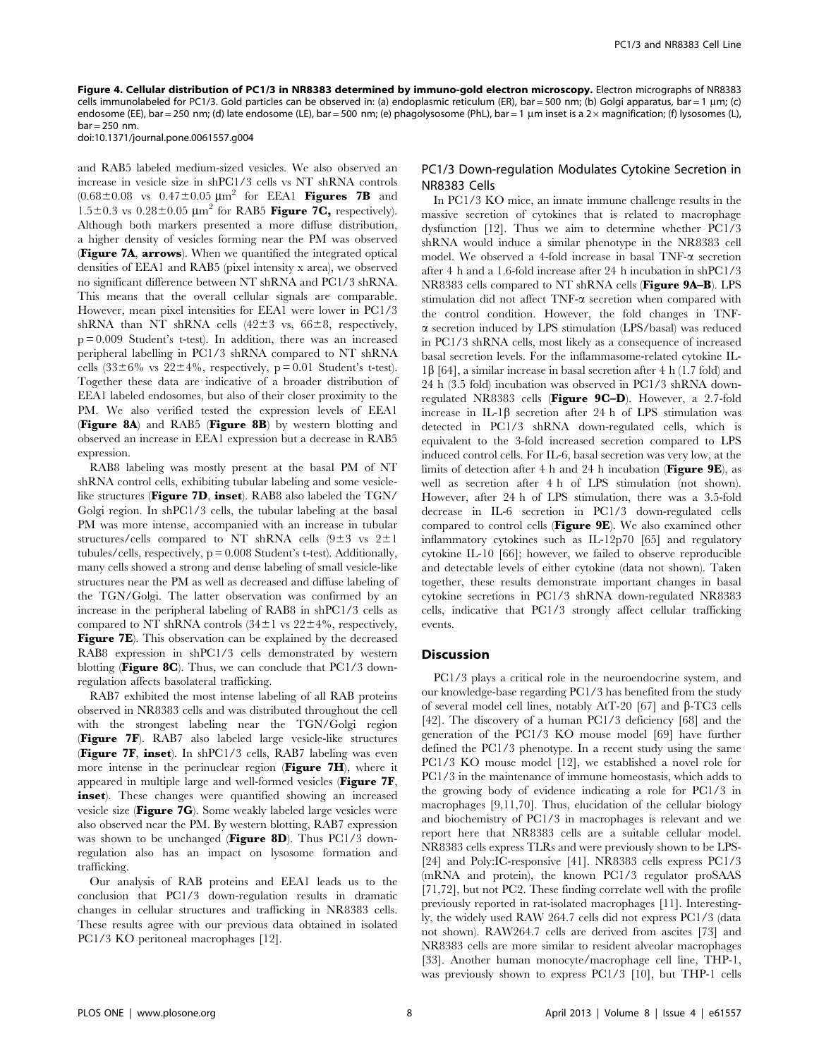Figure 4. Cellular distribution of PC1/3 in NR8383 determined by immuno-gold electron microscopy. Electron micrographs of NR8383 cells immunolabeled for PC1/3. Gold particles can be observed in: (a) endoplasmic reticulum (ER), bar = 500 nm; (b) Golgi apparatus, bar = 1 mm; (c) endosome (EE), bar = 250 nm; (d) late endosome (LE), bar = 500 nm; (e) phagolysosome (PhL), bar = 1 µm inset is a 2 x magnification; (f) lysosomes (L), bar = 250 nm.

doi:10.1371/journal.pone.0061557.g004

and RAB5 labeled medium-sized vesicles. We also observed an increase in vesicle size in shPC1/3 cells vs NT shRNA controls  $(0.68\pm0.08$  vs  $0.47\pm0.05$   $\mu$ m<sup>2</sup> for EEA1 **Figures 7B** and  $1.5\pm0.3$  vs  $0.28\pm0.05$   $\mu$ m<sup>2</sup> for RAB5 **Figure 7C**, respectively). Although both markers presented a more diffuse distribution, a higher density of vesicles forming near the PM was observed (Figure 7A, arrows). When we quantified the integrated optical densities of EEA1 and RAB5 (pixel intensity x area), we observed no significant difference between NT shRNA and PC1/3 shRNA. This means that the overall cellular signals are comparable. However, mean pixel intensities for EEA1 were lower in PC1/3 shRNA than NT shRNA cells  $(42\pm3 \text{ vs. } 66\pm8)$ , respectively,  $p = 0.009$  Student's t-test). In addition, there was an increased peripheral labelling in PC1/3 shRNA compared to NT shRNA cells  $(33\pm6\% \text{ vs } 22\pm4\%, \text{ respectively, p} = 0.01 \text{ Student's t-test}).$ Together these data are indicative of a broader distribution of EEA1 labeled endosomes, but also of their closer proximity to the PM. We also verified tested the expression levels of EEA1 (Figure 8A) and RAB5 (Figure 8B) by western blotting and observed an increase in EEA1 expression but a decrease in RAB5 expression.

RAB8 labeling was mostly present at the basal PM of NT shRNA control cells, exhibiting tubular labeling and some vesiclelike structures (Figure 7D, inset). RAB8 also labeled the TGN/ Golgi region. In shPC1/3 cells, the tubular labeling at the basal PM was more intense, accompanied with an increase in tubular structures/cells compared to NT shRNA cells  $(9\pm3 \text{ vs } 2\pm1)$ tubules/cells, respectively,  $p = 0.008$  Student's t-test). Additionally, many cells showed a strong and dense labeling of small vesicle-like structures near the PM as well as decreased and diffuse labeling of the TGN/Golgi. The latter observation was confirmed by an increase in the peripheral labeling of RAB8 in shPC1/3 cells as compared to NT shRNA controls  $(34\pm1)$  vs  $22\pm4\%$ , respectively, Figure 7E). This observation can be explained by the decreased RAB8 expression in shPC1/3 cells demonstrated by western blotting (**Figure 8C**). Thus, we can conclude that PC1/3 downregulation affects basolateral trafficking.

RAB7 exhibited the most intense labeling of all RAB proteins observed in NR8383 cells and was distributed throughout the cell with the strongest labeling near the TGN/Golgi region (Figure 7F). RAB7 also labeled large vesicle-like structures (Figure 7F, inset). In shPC1/3 cells, RAB7 labeling was even more intense in the perinuclear region (Figure 7H), where it appeared in multiple large and well-formed vesicles (Figure 7F, inset). These changes were quantified showing an increased vesicle size (Figure 7G). Some weakly labeled large vesicles were also observed near the PM. By western blotting, RAB7 expression was shown to be unchanged (Figure 8D). Thus PC1/3 downregulation also has an impact on lysosome formation and trafficking.

Our analysis of RAB proteins and EEA1 leads us to the conclusion that PC1/3 down-regulation results in dramatic changes in cellular structures and trafficking in NR8383 cells. These results agree with our previous data obtained in isolated PC1/3 KO peritoneal macrophages [12].

## PC1/3 Down-regulation Modulates Cytokine Secretion in NR8383 Cells

In PC1/3 KO mice, an innate immune challenge results in the massive secretion of cytokines that is related to macrophage dysfunction [12]. Thus we aim to determine whether PC1/3 shRNA would induce a similar phenotype in the NR8383 cell model. We observed a 4-fold increase in basal  $TNF-\alpha$  secretion after 4 h and a 1.6-fold increase after 24 h incubation in shPC1/3 NR8383 cells compared to NT shRNA cells (Figure 9A–B). LPS stimulation did not affect TNF-a secretion when compared with the control condition. However, the fold changes in TNF- $\alpha$  secretion induced by LPS stimulation (LPS/basal) was reduced in PC1/3 shRNA cells, most likely as a consequence of increased basal secretion levels. For the inflammasome-related cytokine IL-1b [64], a similar increase in basal secretion after 4 h (1.7 fold) and 24 h (3.5 fold) incubation was observed in PC1/3 shRNA downregulated NR8383 cells (Figure 9C–D). However, a 2.7-fold increase in IL-1 $\beta$  secretion after 24 h of LPS stimulation was detected in PC1/3 shRNA down-regulated cells, which is equivalent to the 3-fold increased secretion compared to LPS induced control cells. For IL-6, basal secretion was very low, at the limits of detection after 4 h and 24 h incubation (**Figure 9E**), as well as secretion after 4 h of LPS stimulation (not shown). However, after 24 h of LPS stimulation, there was a 3.5-fold decrease in IL-6 secretion in PC1/3 down-regulated cells compared to control cells (Figure 9E). We also examined other inflammatory cytokines such as IL-12p70 [65] and regulatory cytokine IL-10 [66]; however, we failed to observe reproducible and detectable levels of either cytokine (data not shown). Taken together, these results demonstrate important changes in basal cytokine secretions in PC1/3 shRNA down-regulated NR8383 cells, indicative that PC1/3 strongly affect cellular trafficking events.

## Discussion

PC1/3 plays a critical role in the neuroendocrine system, and our knowledge-base regarding PC1/3 has benefited from the study of several model cell lines, notably AtT-20 [67] and  $\beta$ -TC3 cells [42]. The discovery of a human PC1/3 deficiency [68] and the generation of the PC1/3 KO mouse model [69] have further defined the PC1/3 phenotype. In a recent study using the same PC1/3 KO mouse model [12], we established a novel role for PC1/3 in the maintenance of immune homeostasis, which adds to the growing body of evidence indicating a role for PC1/3 in macrophages [9,11,70]. Thus, elucidation of the cellular biology and biochemistry of PC1/3 in macrophages is relevant and we report here that NR8383 cells are a suitable cellular model. NR8383 cells express TLRs and were previously shown to be LPS- [24] and Poly:IC-responsive [41]. NR8383 cells express PC1/3 (mRNA and protein), the known PC1/3 regulator proSAAS [71,72], but not PC2. These finding correlate well with the profile previously reported in rat-isolated macrophages [11]. Interestingly, the widely used RAW 264.7 cells did not express PC1/3 (data not shown). RAW264.7 cells are derived from ascites [73] and NR8383 cells are more similar to resident alveolar macrophages [33]. Another human monocyte/macrophage cell line, THP-1, was previously shown to express PC1/3 [10], but THP-1 cells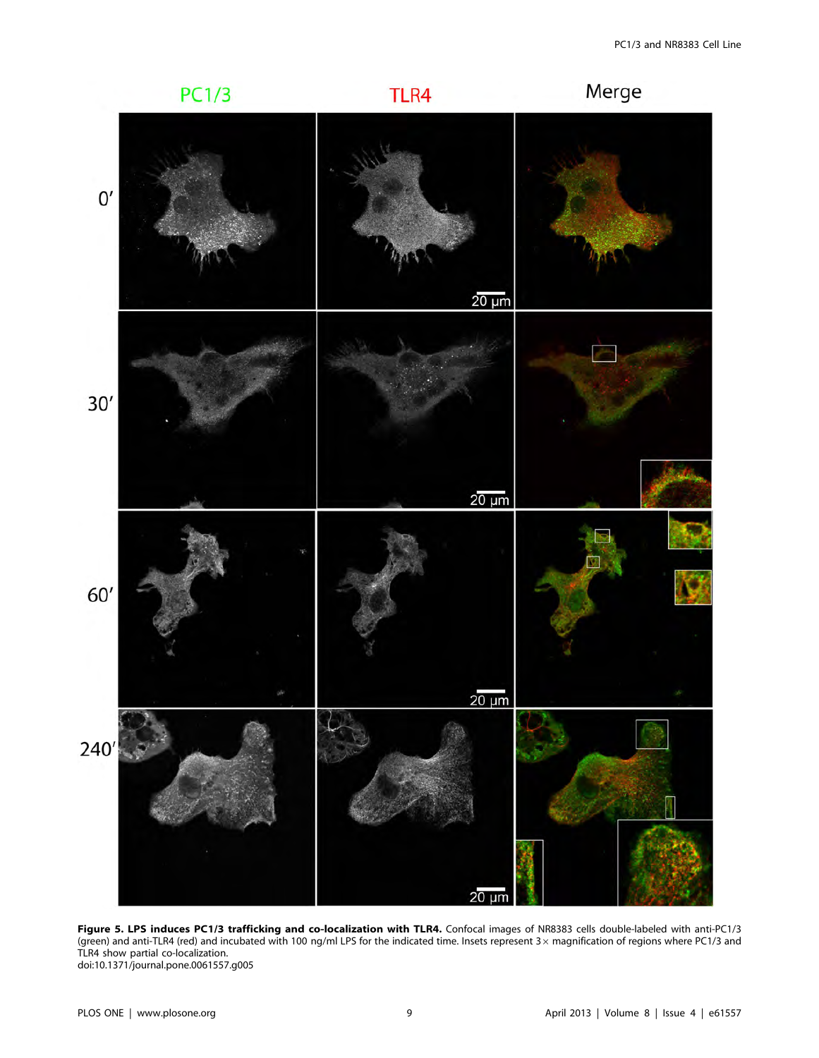

Figure 5. LPS induces PC1/3 trafficking and co-localization with TLR4. Confocal images of NR8383 cells double-labeled with anti-PC1/3 (green) and anti-TLR4 (red) and incubated with 100 ng/ml LPS for the indicated time. Insets represent 3 $\times$  magnification of regions where PC1/3 and TLR4 show partial co-localization. doi:10.1371/journal.pone.0061557.g005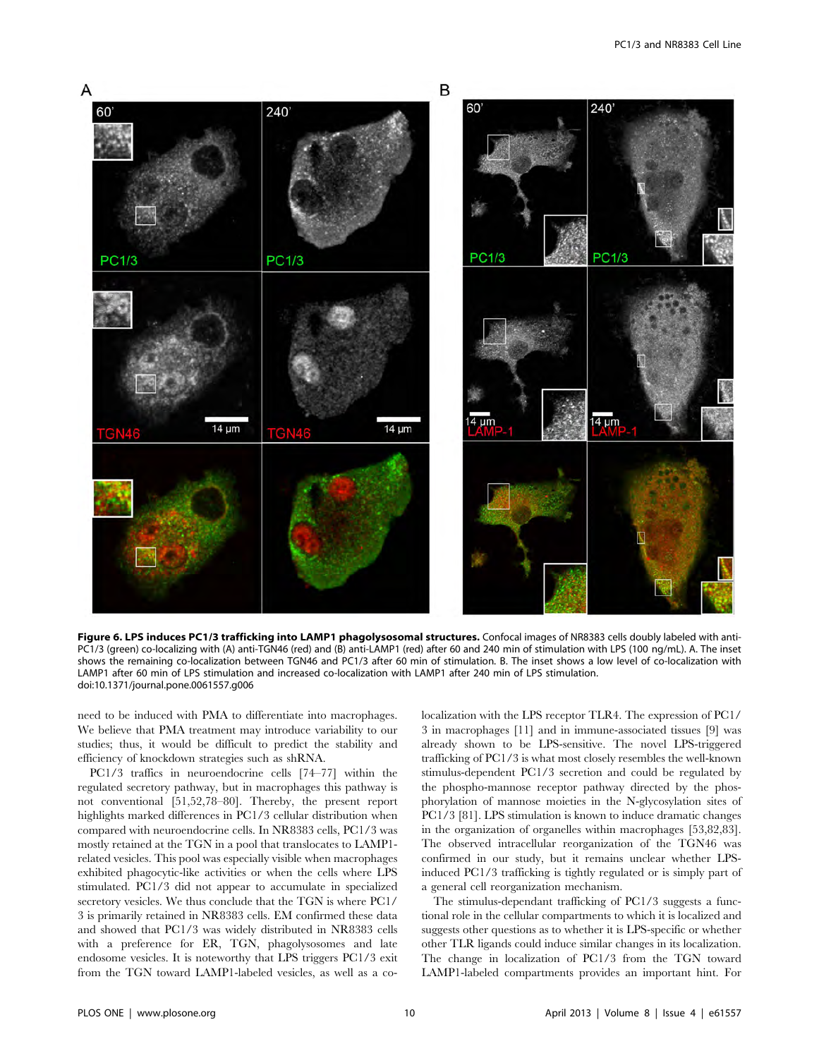

Figure 6. LPS induces PC1/3 trafficking into LAMP1 phagolysosomal structures. Confocal images of NR8383 cells doubly labeled with anti-PC1/3 (green) co-localizing with (A) anti-TGN46 (red) and (B) anti-LAMP1 (red) after 60 and 240 min of stimulation with LPS (100 ng/mL). A. The inset shows the remaining co-localization between TGN46 and PC1/3 after 60 min of stimulation. B. The inset shows a low level of co-localization with LAMP1 after 60 min of LPS stimulation and increased co-localization with LAMP1 after 240 min of LPS stimulation. doi:10.1371/journal.pone.0061557.g006

need to be induced with PMA to differentiate into macrophages. We believe that PMA treatment may introduce variability to our studies; thus, it would be difficult to predict the stability and efficiency of knockdown strategies such as shRNA.

PC1/3 traffics in neuroendocrine cells [74–77] within the regulated secretory pathway, but in macrophages this pathway is not conventional [51,52,78–80]. Thereby, the present report highlights marked differences in PC1/3 cellular distribution when compared with neuroendocrine cells. In NR8383 cells, PC1/3 was mostly retained at the TGN in a pool that translocates to LAMP1 related vesicles. This pool was especially visible when macrophages exhibited phagocytic-like activities or when the cells where LPS stimulated. PC1/3 did not appear to accumulate in specialized secretory vesicles. We thus conclude that the TGN is where PC1/ 3 is primarily retained in NR8383 cells. EM confirmed these data and showed that PC1/3 was widely distributed in NR8383 cells with a preference for ER, TGN, phagolysosomes and late endosome vesicles. It is noteworthy that LPS triggers PC1/3 exit from the TGN toward LAMP1-labeled vesicles, as well as a colocalization with the LPS receptor TLR4. The expression of PC1/ 3 in macrophages [11] and in immune-associated tissues [9] was already shown to be LPS-sensitive. The novel LPS-triggered trafficking of PC1/3 is what most closely resembles the well-known stimulus-dependent PC1/3 secretion and could be regulated by the phospho-mannose receptor pathway directed by the phosphorylation of mannose moieties in the N-glycosylation sites of PC1/3 [81]. LPS stimulation is known to induce dramatic changes in the organization of organelles within macrophages [53,82,83]. The observed intracellular reorganization of the TGN46 was confirmed in our study, but it remains unclear whether LPSinduced PC1/3 trafficking is tightly regulated or is simply part of a general cell reorganization mechanism.

The stimulus-dependant trafficking of PC1/3 suggests a functional role in the cellular compartments to which it is localized and suggests other questions as to whether it is LPS-specific or whether other TLR ligands could induce similar changes in its localization. The change in localization of PC1/3 from the TGN toward LAMP1-labeled compartments provides an important hint. For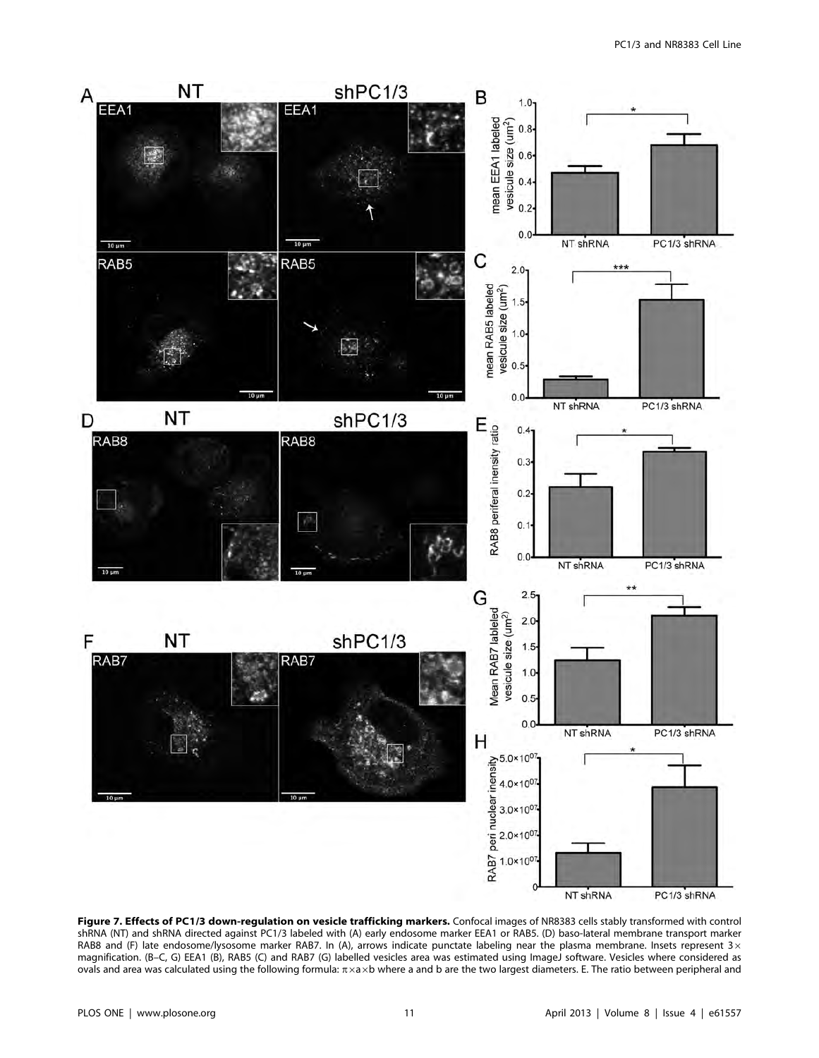

Figure 7. Effects of PC1/3 down-regulation on vesicle trafficking markers. Confocal images of NR8383 cells stably transformed with control shRNA (NT) and shRNA directed against PC1/3 labeled with (A) early endosome marker EEA1 or RAB5. (D) baso-lateral membrane transport marker RAB8 and (F) late endosome/lysosome marker RAB7. In (A), arrows indicate punctate labeling near the plasma membrane. Insets represent  $3 \times$ magnification. (B–C, G) EEA1 (B), RAB5 (C) and RAB7 (G) labelled vesicles area was estimated using ImageJ software. Vesicles where considered as ovals and area was calculated using the following formula:  $\pi \times a \times b$  where a and b are the two largest diameters. E. The ratio between peripheral and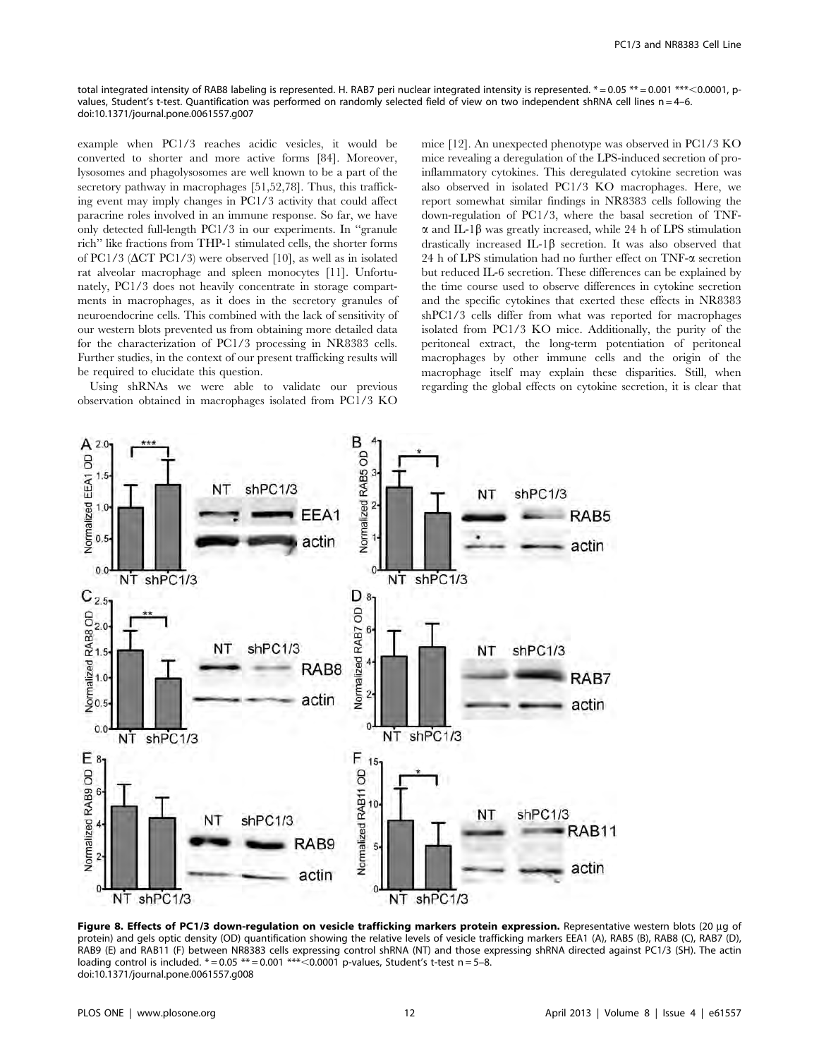total integrated intensity of RAB8 labeling is represented. H. RAB7 peri nuclear integrated intensity is represented. \*= 0.05 \*\*= 0.001 \*\*\*< 0.0001, pvalues, Student's t-test. Quantification was performed on randomly selected field of view on two independent shRNA cell lines n = 4-6. doi:10.1371/journal.pone.0061557.g007

example when PC1/3 reaches acidic vesicles, it would be converted to shorter and more active forms [84]. Moreover, lysosomes and phagolysosomes are well known to be a part of the secretory pathway in macrophages [51,52,78]. Thus, this trafficking event may imply changes in PC1/3 activity that could affect paracrine roles involved in an immune response. So far, we have only detected full-length PC1/3 in our experiments. In ''granule rich'' like fractions from THP-1 stimulated cells, the shorter forms of PC1/3 ( $\Delta$ CT PC1/3) were observed [10], as well as in isolated rat alveolar macrophage and spleen monocytes [11]. Unfortunately, PC1/3 does not heavily concentrate in storage compartments in macrophages, as it does in the secretory granules of neuroendocrine cells. This combined with the lack of sensitivity of our western blots prevented us from obtaining more detailed data for the characterization of PC1/3 processing in NR8383 cells. Further studies, in the context of our present trafficking results will be required to elucidate this question.

Using shRNAs we were able to validate our previous observation obtained in macrophages isolated from PC1/3 KO mice [12]. An unexpected phenotype was observed in PC1/3 KO mice revealing a deregulation of the LPS-induced secretion of proinflammatory cytokines. This deregulated cytokine secretion was also observed in isolated PC1/3 KO macrophages. Here, we report somewhat similar findings in NR8383 cells following the down-regulation of PC1/3, where the basal secretion of TNF- $\alpha$  and IL-1 $\beta$  was greatly increased, while 24 h of LPS stimulation drastically increased IL-1 $\beta$  secretion. It was also observed that 24 h of LPS stimulation had no further effect on  $TNF-\alpha$  secretion but reduced IL-6 secretion. These differences can be explained by the time course used to observe differences in cytokine secretion and the specific cytokines that exerted these effects in NR8383 shPC1/3 cells differ from what was reported for macrophages isolated from PC1/3 KO mice. Additionally, the purity of the peritoneal extract, the long-term potentiation of peritoneal macrophages by other immune cells and the origin of the macrophage itself may explain these disparities. Still, when regarding the global effects on cytokine secretion, it is clear that



Figure 8. Effects of PC1/3 down-regulation on vesicle trafficking markers protein expression. Representative western blots (20 µg of protein) and gels optic density (OD) quantification showing the relative levels of vesicle trafficking markers EEA1 (A), RAB5 (B), RAB8 (C), RAB7 (D), RAB9 (E) and RAB11 (F) between NR8383 cells expressing control shRNA (NT) and those expressing shRNA directed against PC1/3 (SH). The actin loading control is included.  $* = 0.05$   $** = 0.001$   $*** < 0.0001$  p-values, Student's t-test n = 5-8. doi:10.1371/journal.pone.0061557.g008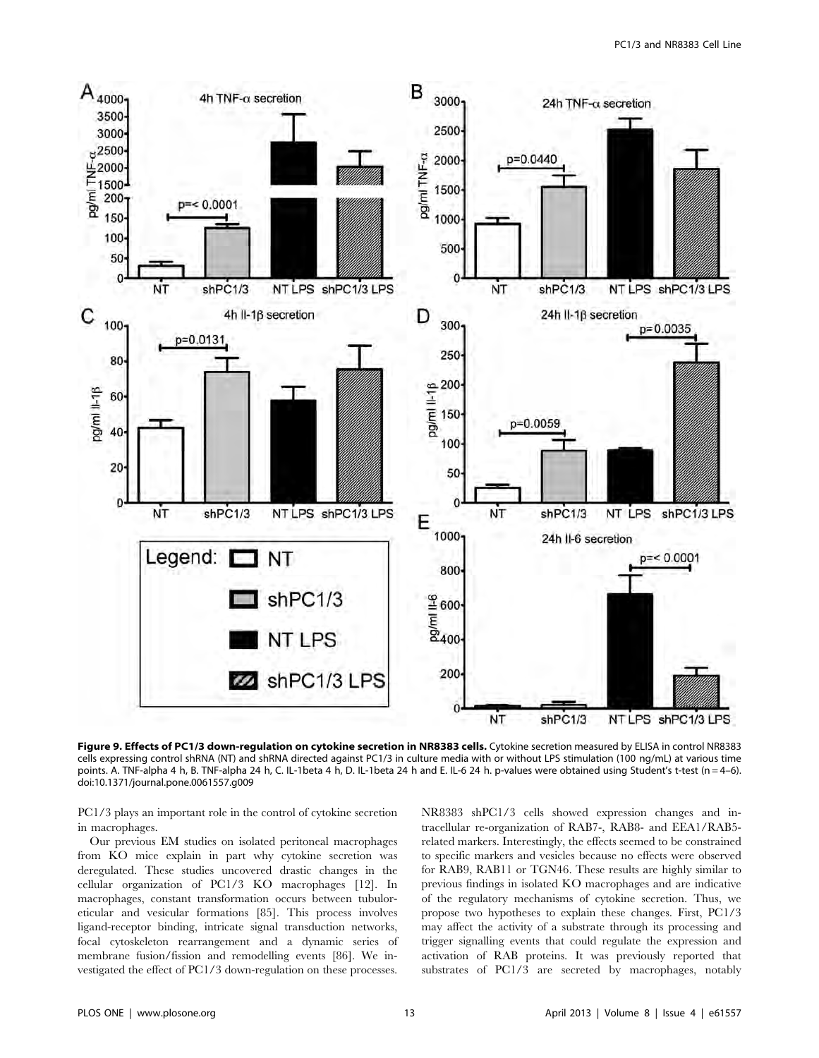

Figure 9. Effects of PC1/3 down-regulation on cytokine secretion in NR8383 cells. Cytokine secretion measured by ELISA in control NR8383 cells expressing control shRNA (NT) and shRNA directed against PC1/3 in culture media with or without LPS stimulation (100 ng/mL) at various time points. A. TNF-alpha 4 h, B. TNF-alpha 24 h, C. IL-1beta 4 h, D. IL-1beta 24 h and E. IL-6 24 h. p-values were obtained using Student's t-test (n = 4–6). doi:10.1371/journal.pone.0061557.g009

PC1/3 plays an important role in the control of cytokine secretion in macrophages.

Our previous EM studies on isolated peritoneal macrophages from KO mice explain in part why cytokine secretion was deregulated. These studies uncovered drastic changes in the cellular organization of PC1/3 KO macrophages [12]. In macrophages, constant transformation occurs between tubuloreticular and vesicular formations [85]. This process involves ligand-receptor binding, intricate signal transduction networks, focal cytoskeleton rearrangement and a dynamic series of membrane fusion/fission and remodelling events [86]. We investigated the effect of PC1/3 down-regulation on these processes.

NR8383 shPC1/3 cells showed expression changes and intracellular re-organization of RAB7-, RAB8- and EEA1/RAB5 related markers. Interestingly, the effects seemed to be constrained to specific markers and vesicles because no effects were observed for RAB9, RAB11 or TGN46. These results are highly similar to previous findings in isolated KO macrophages and are indicative of the regulatory mechanisms of cytokine secretion. Thus, we propose two hypotheses to explain these changes. First, PC1/3 may affect the activity of a substrate through its processing and trigger signalling events that could regulate the expression and activation of RAB proteins. It was previously reported that substrates of PC1/3 are secreted by macrophages, notably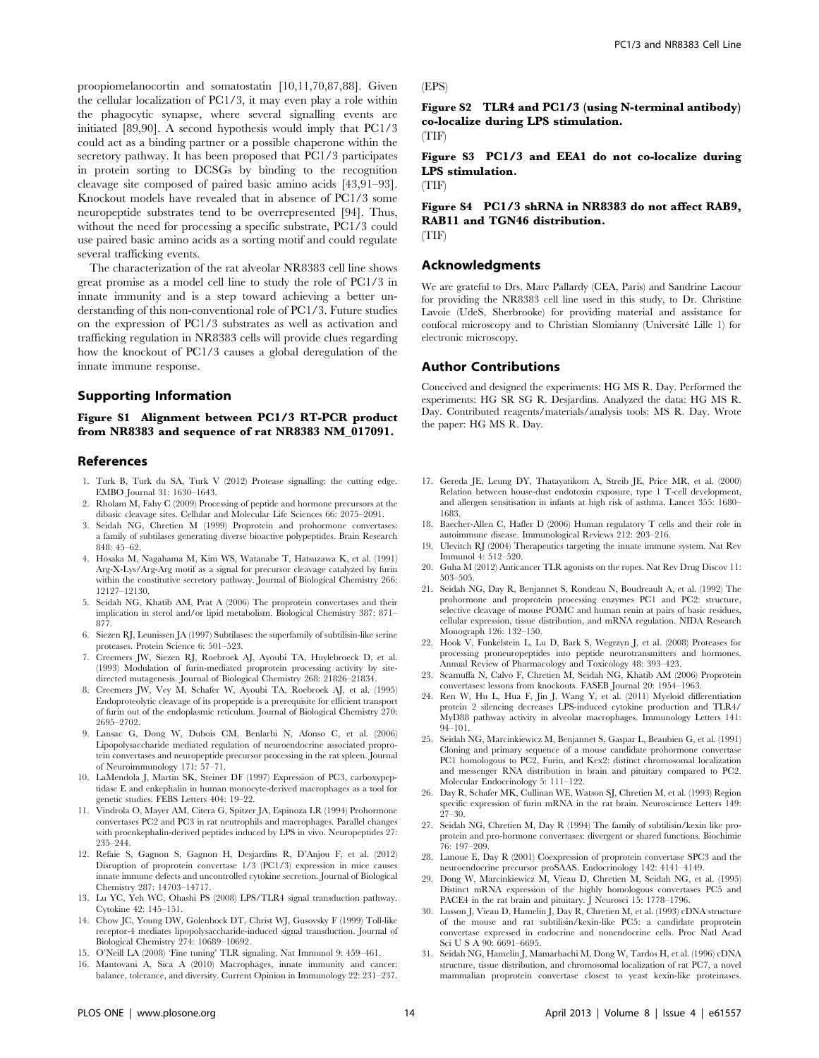proopiomelanocortin and somatostatin [10,11,70,87,88]. Given the cellular localization of PC1/3, it may even play a role within the phagocytic synapse, where several signalling events are initiated [89,90]. A second hypothesis would imply that PC1/3 could act as a binding partner or a possible chaperone within the secretory pathway. It has been proposed that PC1/3 participates in protein sorting to DCSGs by binding to the recognition cleavage site composed of paired basic amino acids [43,91–93]. Knockout models have revealed that in absence of PC1/3 some neuropeptide substrates tend to be overrepresented [94]. Thus, without the need for processing a specific substrate, PC1/3 could use paired basic amino acids as a sorting motif and could regulate several trafficking events.

The characterization of the rat alveolar NR8383 cell line shows great promise as a model cell line to study the role of PC1/3 in innate immunity and is a step toward achieving a better understanding of this non-conventional role of PC1/3. Future studies on the expression of PC1/3 substrates as well as activation and trafficking regulation in NR8383 cells will provide clues regarding how the knockout of PC1/3 causes a global deregulation of the innate immune response.

## Supporting Information

Figure S1 Alignment between PC1/3 RT-PCR product from NR8383 and sequence of rat NR8383 NM\_017091.

#### References

- 1. Turk B, Turk du SA, Turk V (2012) Protease signalling: the cutting edge. EMBO Journal 31: 1630–1643.
- 2. Rholam M, Fahy C (2009) Processing of peptide and hormone precursors at the dibasic cleavage sites. Cellular and Molecular Life Sciences 66: 2075–2091.
- 3. Seidah NG, Chretien M (1999) Proprotein and prohormone convertases: a family of subtilases generating diverse bioactive polypeptides. Brain Research 848: 45–62.
- 4. Hosaka M, Nagahama M, Kim WS, Watanabe T, Hatsuzawa K, et al. (1991) Arg-X-Lys/Arg-Arg motif as a signal for precursor cleavage catalyzed by furin within the constitutive secretory pathway. Journal of Biological Chemistry 266: 12127–12130.
- 5. Seidah NG, Khatib AM, Prat A (2006) The proprotein convertases and their implication in sterol and/or lipid metabolism. Biological Chemistry 387: 871– 877.
- 6. Siezen RJ, Leunissen JA (1997) Subtilases: the superfamily of subtilisin-like serine proteases. Protein Science 6: 501–523.
- 7. Creemers JW, Siezen RJ, Roebroek AJ, Ayoubi TA, Huylebroeck D, et al. (1993) Modulation of furin-mediated proprotein processing activity by sitedirected mutagenesis. Journal of Biological Chemistry 268: 21826–21834.
- 8. Creemers JW, Vey M, Schafer W, Ayoubi TA, Roebroek AJ, et al. (1995) Endoproteolytic cleavage of its propeptide is a prerequisite for efficient transport of furin out of the endoplasmic reticulum. Journal of Biological Chemistry 270: 2695–2702.
- 9. Lansac G, Dong W, Dubois CM, Benlarbi N, Afonso C, et al. (2006) Lipopolysaccharide mediated regulation of neuroendocrine associated proprotein convertases and neuropeptide precursor processing in the rat spleen. Journal of Neuroimmunology 171: 57–71.
- 10. LaMendola J, Martin SK, Steiner DF (1997) Expression of PC3, carboxypeptidase E and enkephalin in human monocyte-derived macrophages as a tool for genetic studies. FEBS Letters 404: 19–22.
- 11. Vindrola O, Mayer AM, Citera G, Spitzer JA, Espinoza LR (1994) Prohormone convertases PC2 and PC3 in rat neutrophils and macrophages. Parallel changes with proenkephalin-derived peptides induced by LPS in vivo. Neuropeptides 27: 235–244.
- 12. Refaie S, Gagnon S, Gagnon H, Desjardins R, D'Anjou F, et al. (2012) Disruption of proprotein convertase 1/3 (PC1/3) expression in mice causes innate immune defects and uncontrolled cytokine secretion. Journal of Biological Chemistry 287: 14703–14717.
- 13. Lu YC, Yeh WC, Ohashi PS (2008) LPS/TLR4 signal transduction pathway. Cytokine 42: 145–151.
- 14. Chow JC, Young DW, Golenbock DT, Christ WJ, Gusovsky F (1999) Toll-like receptor-4 mediates lipopolysaccharide-induced signal transduction. Journal of Biological Chemistry 274: 10689–10692.
- 15. O'Neill LA (2008) 'Fine tuning' TLR signaling. Nat Immunol 9: 459–461.
- 16. Mantovani A, Sica A (2010) Macrophages, innate immunity and cancer: balance, tolerance, and diversity. Current Opinion in Immunology 22: 231–237.

## (EPS)

Figure S2 TLR4 and PC1/3 (using N-terminal antibody) co-localize during LPS stimulation. (TIF)

Figure S3 PC1/3 and EEA1 do not co-localize during LPS stimulation.

Figure S4 PC1/3 shRNA in NR8383 do not affect RAB9,

RAB11 and TGN46 distribution.

## (TIF)

(TIF)

#### Acknowledgments

We are grateful to Drs. Marc Pallardy (CEA, Paris) and Sandrine Lacour for providing the NR8383 cell line used in this study, to Dr. Christine Lavoie (UdeS, Sherbrooke) for providing material and assistance for confocal microscopy and to Christian Slomianny (Université Lille 1) for electronic microscopy.

#### Author Contributions

Conceived and designed the experiments: HG MS R. Day. Performed the experiments: HG SR SG R. Desjardins. Analyzed the data: HG MS R. Day. Contributed reagents/materials/analysis tools: MS R. Day. Wrote the paper: HG MS R. Day.

- 17. Gereda JE, Leung DY, Thatayatikom A, Streib JE, Price MR, et al. (2000) Relation between house-dust endotoxin exposure, type 1 T-cell development, and allergen sensitisation in infants at high risk of asthma. Lancet 355: 1680– 1683.
- 18. Baecher-Allen C, Hafler D (2006) Human regulatory T cells and their role in autoimmune disease. Immunological Reviews 212: 203–216.
- 19. Ulevitch RJ (2004) Therapeutics targeting the innate immune system. Nat Rev Immunol 4: 512–520.
- 20. Guha M (2012) Anticancer TLR agonists on the ropes. Nat Rev Drug Discov 11: 503–505.
- 21. Seidah NG, Day R, Benjannet S, Rondeau N, Boudreault A, et al. (1992) The prohormone and proprotein processing enzymes PC1 and PC2: structure, selective cleavage of mouse POMC and human renin at pairs of basic residues, cellular expression, tissue distribution, and mRNA regulation. NIDA Research Monograph 126: 132–150.
- 22. Hook V, Funkelstein L, Lu D, Bark S, Wegrzyn J, et al. (2008) Proteases for processing proneuropeptides into peptide neurotransmitters and hormones. Annual Review of Pharmacology and Toxicology 48: 393–423.
- 23. Scamuffa N, Calvo F, Chretien M, Seidah NG, Khatib AM (2006) Proprotein convertases: lessons from knockouts. FASEB Journal 20: 1954–1963.
- 24. Ren W, Hu L, Hua F, Jin J, Wang Y, et al. (2011) Myeloid differentiation protein 2 silencing decreases LPS-induced cytokine production and TLR4/ MyD88 pathway activity in alveolar macrophages. Immunology Letters 141: 94–101.
- 25. Seidah NG, Marcinkiewicz M, Benjannet S, Gaspar L, Beaubien G, et al. (1991) Cloning and primary sequence of a mouse candidate prohormone convertase PC1 homologous to PC2, Furin, and Kex2: distinct chromosomal localization and messenger RNA distribution in brain and pituitary compared to PC2. Molecular Endocrinology 5: 111–122.
- 26. Day R, Schafer MK, Cullinan WE, Watson SJ, Chretien M, et al. (1993) Region specific expression of furin mRNA in the rat brain. Neuroscience Letters 149: 27–30.
- 27. Seidah NG, Chretien M, Day R (1994) The family of subtilisin/kexin like proprotein and pro-hormone convertases: divergent or shared functions. Biochimie 76: 197–209.
- 28. Lanoue E, Day R (2001) Coexpression of proprotein convertase SPC3 and the neuroendocrine precursor proSAAS. Endocrinology 142: 4141–4149.
- 29. Dong W, Marcinkiewicz M, Vieau D, Chretien M, Seidah NG, et al. (1995) Distinct mRNA expression of the highly homologous convertases PC5 and PACE4 in the rat brain and pituitary. J Neurosci 15: 1778–1796.
- 30. Lusson J, Vieau D, Hamelin J, Day R, Chretien M, et al. (1993) cDNA structure of the mouse and rat subtilisin/kexin-like PC5: a candidate proprotein convertase expressed in endocrine and nonendocrine cells. Proc Natl Acad Sci U S A 90: 6691–6695.
- 31. Seidah NG, Hamelin J, Mamarbachi M, Dong W, Tardos H, et al. (1996) cDNA structure, tissue distribution, and chromosomal localization of rat PC7, a novel mammalian proprotein convertase closest to yeast kexin-like proteinases.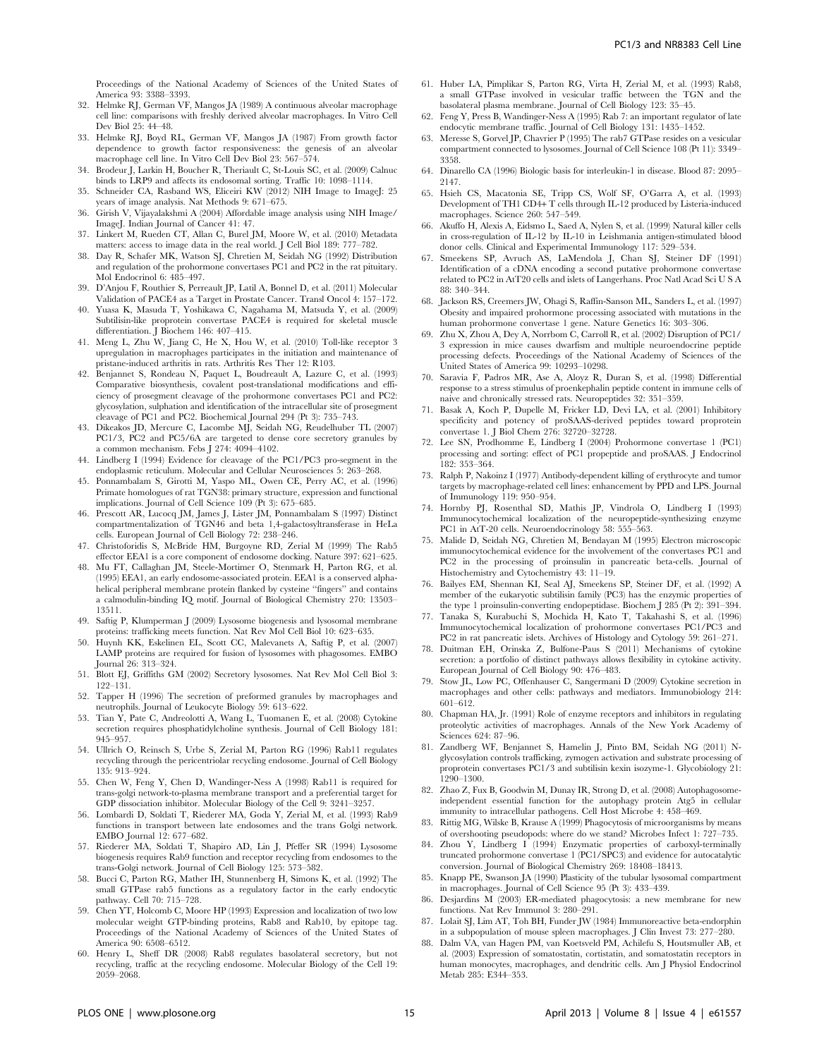Proceedings of the National Academy of Sciences of the United States of America 93: 3388–3393.

- 32. Helmke RJ, German VF, Mangos JA (1989) A continuous alveolar macrophage cell line: comparisons with freshly derived alveolar macrophages. In Vitro Cell Dev Biol 25: 44–48.
- 33. Helmke RJ, Boyd RL, German VF, Mangos JA (1987) From growth factor dependence to growth factor responsiveness: the genesis of an alveolar macrophage cell line. In Vitro Cell Dev Biol 23: 567–574.
- 34. Brodeur J, Larkin H, Boucher R, Theriault C, St-Louis SC, et al. (2009) Calnuc binds to LRP9 and affects its endosomal sorting. Traffic 10: 1098–1114.
- 35. Schneider CA, Rasband WS, Eliceiri KW (2012) NIH Image to ImageJ: 25 years of image analysis. Nat Methods 9: 671–675.
- 36. Girish V, Vijayalakshmi A (2004) Affordable image analysis using NIH Image/ ImageJ. Indian Journal of Cancer 41: 47.
- 37. Linkert M, Rueden CT, Allan C, Burel JM, Moore W, et al. (2010) Metadata matters: access to image data in the real world. J Cell Biol 189: 777–782.
- 38. Day R, Schafer MK, Watson SJ, Chretien M, Seidah NG (1992) Distribution and regulation of the prohormone convertases PC1 and PC2 in the rat pituitary. Mol Endocrinol 6: 485–497.
- 39. D'Anjou F, Routhier S, Perreault JP, Latil A, Bonnel D, et al. (2011) Molecular Validation of PACE4 as a Target in Prostate Cancer. Transl Oncol 4: 157–172.
- 40. Yuasa K, Masuda T, Yoshikawa C, Nagahama M, Matsuda Y, et al. (2009) Subtilisin-like proprotein convertase PACE4 is required for skeletal muscle differentiation. J Biochem 146: 407–415.
- 41. Meng L, Zhu W, Jiang C, He X, Hou W, et al. (2010) Toll-like receptor 3 upregulation in macrophages participates in the initiation and maintenance of pristane-induced arthritis in rats. Arthritis Res Ther 12: R103.
- 42. Benjannet S, Rondeau N, Paquet L, Boudreault A, Lazure C, et al. (1993) Comparative biosynthesis, covalent post-translational modifications and efficiency of prosegment cleavage of the prohormone convertases PC1 and PC2: glycosylation, sulphation and identification of the intracellular site of prosegment cleavage of PC1 and PC2. Biochemical Journal 294 (Pt 3): 735–743.
- 43. Dikeakos JD, Mercure C, Lacombe MJ, Seidah NG, Reudelhuber TL (2007) PC1/3, PC2 and PC5/6A are targeted to dense core secretory granules by a common mechanism. Febs J 274: 4094–4102.
- 44. Lindberg I (1994) Evidence for cleavage of the PC1/PC3 pro-segment in the endoplasmic reticulum. Molecular and Cellular Neurosciences 5: 263–268.
- 45. Ponnambalam S, Girotti M, Yaspo ML, Owen CE, Perry AC, et al. (1996) Primate homologues of rat TGN38: primary structure, expression and functional implications. Journal of Cell Science 109 (Pt 3): 675–685.
- 46. Prescott AR, Lucocq JM, James J, Lister JM, Ponnambalam S (1997) Distinct compartmentalization of TGN46 and beta 1,4-galactosyltransferase in HeLa cells. European Journal of Cell Biology 72: 238–246.
- 47. Christoforidis S, McBride HM, Burgoyne RD, Zerial M (1999) The Rab5 effector EEA1 is a core component of endosome docking. Nature 397: 621–625.
- 48. Mu FT, Callaghan JM, Steele-Mortimer O, Stenmark H, Parton RG, et al. (1995) EEA1, an early endosome-associated protein. EEA1 is a conserved alphahelical peripheral membrane protein flanked by cysteine ''fingers'' and contains a calmodulin-binding IQ motif. Journal of Biological Chemistry 270: 13503– 13511.
- 49. Saftig P, Klumperman J (2009) Lysosome biogenesis and lysosomal membrane proteins: trafficking meets function. Nat Rev Mol Cell Biol 10: 623–635.
- 50. Huynh KK, Eskelinen EL, Scott CC, Malevanets A, Saftig P, et al. (2007) LAMP proteins are required for fusion of lysosomes with phagosomes. EMBO Journal 26: 313–324.
- 51. Blott EJ, Griffiths GM (2002) Secretory lysosomes. Nat Rev Mol Cell Biol 3: 122–131.
- 52. Tapper H (1996) The secretion of preformed granules by macrophages and neutrophils. Journal of Leukocyte Biology 59: 613–622.
- 53. Tian Y, Pate C, Andreolotti A, Wang L, Tuomanen E, et al. (2008) Cytokine secretion requires phosphatidylcholine synthesis. Journal of Cell Biology 181: 945–957.
- 54. Ullrich O, Reinsch S, Urbe S, Zerial M, Parton RG (1996) Rab11 regulates recycling through the pericentriolar recycling endosome. Journal of Cell Biology 135: 913–924.
- 55. Chen W, Feng Y, Chen D, Wandinger-Ness A (1998) Rab11 is required for trans-golgi network-to-plasma membrane transport and a preferential target for GDP dissociation inhibitor. Molecular Biology of the Cell 9: 3241–3257.
- 56. Lombardi D, Soldati T, Riederer MA, Goda Y, Zerial M, et al. (1993) Rab9 functions in transport between late endosomes and the trans Golgi network. EMBO Journal  $12 \cdot 677 - 682$ .
- 57. Riederer MA, Soldati T, Shapiro AD, Lin J, Pfeffer SR (1994) Lysosome biogenesis requires Rab9 function and receptor recycling from endosomes to the trans-Golgi network. Journal of Cell Biology 125: 573–582.
- 58. Bucci C, Parton RG, Mather IH, Stunnenberg H, Simons K, et al. (1992) The small GTPase rab5 functions as a regulatory factor in the early endocytic pathway. Cell 70: 715–728.
- 59. Chen YT, Holcomb C, Moore HP (1993) Expression and localization of two low molecular weight GTP-binding proteins, Rab8 and Rab10, by epitope tag. Proceedings of the National Academy of Sciences of the United States of America 90: 6508–6512.
- 60. Henry L, Sheff DR (2008) Rab8 regulates basolateral secretory, but not recycling, traffic at the recycling endosome. Molecular Biology of the Cell 19: 2059–2068.
- 61. Huber LA, Pimplikar S, Parton RG, Virta H, Zerial M, et al. (1993) Rab8, a small GTPase involved in vesicular traffic between the TGN and the basolateral plasma membrane. Journal of Cell Biology 123: 35–45.
- 62. Feng Y, Press B, Wandinger-Ness A (1995) Rab 7: an important regulator of late endocytic membrane traffic. Journal of Cell Biology 131: 1435–1452.
- 63. Meresse S, Gorvel JP, Chavrier P (1995) The rab7 GTPase resides on a vesicular compartment connected to lysosomes. Journal of Cell Science 108 (Pt 11): 3349– 3358.
- 64. Dinarello CA (1996) Biologic basis for interleukin-1 in disease. Blood 87: 2095– 2147.
- 65. Hsieh CS, Macatonia SE, Tripp CS, Wolf SF, O'Garra A, et al. (1993) Development of TH1 CD4+ T cells through IL-12 produced by Listeria-induced macrophages. Science 260: 547–549.
- 66. Akuffo H, Alexis A, Eidsmo L, Saed A, Nylen S, et al. (1999) Natural killer cells in cross-regulation of IL-12 by IL-10 in Leishmania antigen-stimulated blood donor cells. Clinical and Experimental Immunology 117: 529–534.
- 67. Smeekens SP, Avruch AS, LaMendola J, Chan SJ, Steiner DF (1991) Identification of a cDNA encoding a second putative prohormone convertase related to PC2 in AtT20 cells and islets of Langerhans. Proc Natl Acad Sci U S A 88: 340–344.
- 68. Jackson RS, Creemers JW, Ohagi S, Raffin-Sanson ML, Sanders L, et al. (1997) Obesity and impaired prohormone processing associated with mutations in the human prohormone convertase 1 gene. Nature Genetics 16: 303–306.
- 69. Zhu X, Zhou A, Dey A, Norrbom C, Carroll R, et al. (2002) Disruption of PC1/ 3 expression in mice causes dwarfism and multiple neuroendocrine peptide processing defects. Proceedings of the National Academy of Sciences of the United States of America 99: 10293–10298.
- 70. Saravia F, Padros MR, Ase A, Aloyz R, Duran S, et al. (1998) Differential response to a stress stimulus of proenkephalin peptide content in immune cells of naive and chronically stressed rats. Neuropeptides 32: 351–359.
- 71. Basak A, Koch P, Dupelle M, Fricker LD, Devi LA, et al. (2001) Inhibitory specificity and potency of proSAAS-derived peptides toward proprotein convertase 1. J Biol Chem 276: 32720–32728.
- 72. Lee SN, Prodhomme E, Lindberg I (2004) Prohormone convertase 1 (PC1) processing and sorting: effect of PC1 propeptide and proSAAS. J Endocrinol 182: 353–364.
- 73. Ralph P, Nakoinz I (1977) Antibody-dependent killing of erythrocyte and tumor targets by macrophage-related cell lines: enhancement by PPD and LPS. Journal of Immunology 119: 950–954.
- 74. Hornby PJ, Rosenthal SD, Mathis JP, Vindrola O, Lindberg I (1993) Immunocytochemical localization of the neuropeptide-synthesizing enzyme PC1 in AtT-20 cells. Neuroendocrinology 58: 555–563.
- 75. Malide D, Seidah NG, Chretien M, Bendayan M (1995) Electron microscopic immunocytochemical evidence for the involvement of the convertases PC1 and PC2 in the processing of proinsulin in pancreatic beta-cells. Journal of Histochemistry and Cytochemistry 43: 11–19.
- 76. Bailyes EM, Shennan KI, Seal AJ, Smeekens SP, Steiner DF, et al. (1992) A member of the eukaryotic subtilisin family (PC3) has the enzymic properties of the type 1 proinsulin-converting endopeptidase. Biochem J 285 (Pt 2): 391–394.
- 77. Tanaka S, Kurabuchi S, Mochida H, Kato T, Takahashi S, et al. (1996) Immunocytochemical localization of prohormone convertases PC1/PC3 and PC2 in rat pancreatic islets. Archives of Histology and Cytology 59: 261–271.
- 78. Duitman EH, Orinska Z, Bulfone-Paus S (2011) Mechanisms of cytokine secretion: a portfolio of distinct pathways allows flexibility in cytokine activity. European Journal of Cell Biology 90: 476–483.
- 79. Stow JL, Low PC, Offenhauser C, Sangermani D (2009) Cytokine secretion in macrophages and other cells: pathways and mediators. Immunobiology 214: 601–612.
- 80. Chapman HA, Jr. (1991) Role of enzyme receptors and inhibitors in regulating proteolytic activities of macrophages. Annals of the New York Academy of Sciences 624: 87–96.
- 81. Zandberg WF, Benjannet S, Hamelin J, Pinto BM, Seidah NG (2011) Nglycosylation controls trafficking, zymogen activation and substrate processing of proprotein convertases PC1/3 and subtilisin kexin isozyme-1. Glycobiology 21: 1290–1300.
- 82. Zhao Z, Fux B, Goodwin M, Dunay IR, Strong D, et al. (2008) Autophagosomeindependent essential function for the autophagy protein Atg5 in cellular immunity to intracellular pathogens. Cell Host Microbe 4: 458–469.
- 83. Rittig MG, Wilske B, Krause A (1999) Phagocytosis of microorganisms by means of overshooting pseudopods: where do we stand? Microbes Infect 1: 727–735.
- 84. Zhou Y, Lindberg I (1994) Enzymatic properties of carboxyl-terminally truncated prohormone convertase 1 (PC1/SPC3) and evidence for autocatalytic conversion. Journal of Biological Chemistry 269: 18408–18413.
- 85. Knapp PE, Swanson JA (1990) Plasticity of the tubular lysosomal compartment in macrophages. Journal of Cell Science 95 (Pt 3): 433–439.
- 86. Desjardins M (2003) ER-mediated phagocytosis: a new membrane for new functions. Nat Rev Immunol 3: 280–291.
- 87. Lolait SJ, Lim AT, Toh BH, Funder JW (1984) Immunoreactive beta-endorphin in a subpopulation of mouse spleen macrophages. J Clin Invest 73: 277–280.
- 88. Dalm VA, van Hagen PM, van Koetsveld PM, Achilefu S, Houtsmuller AB, et al. (2003) Expression of somatostatin, cortistatin, and somatostatin receptors in human monocytes, macrophages, and dendritic cells. Am J Physiol Endocrinol Metab 285: E344–353.